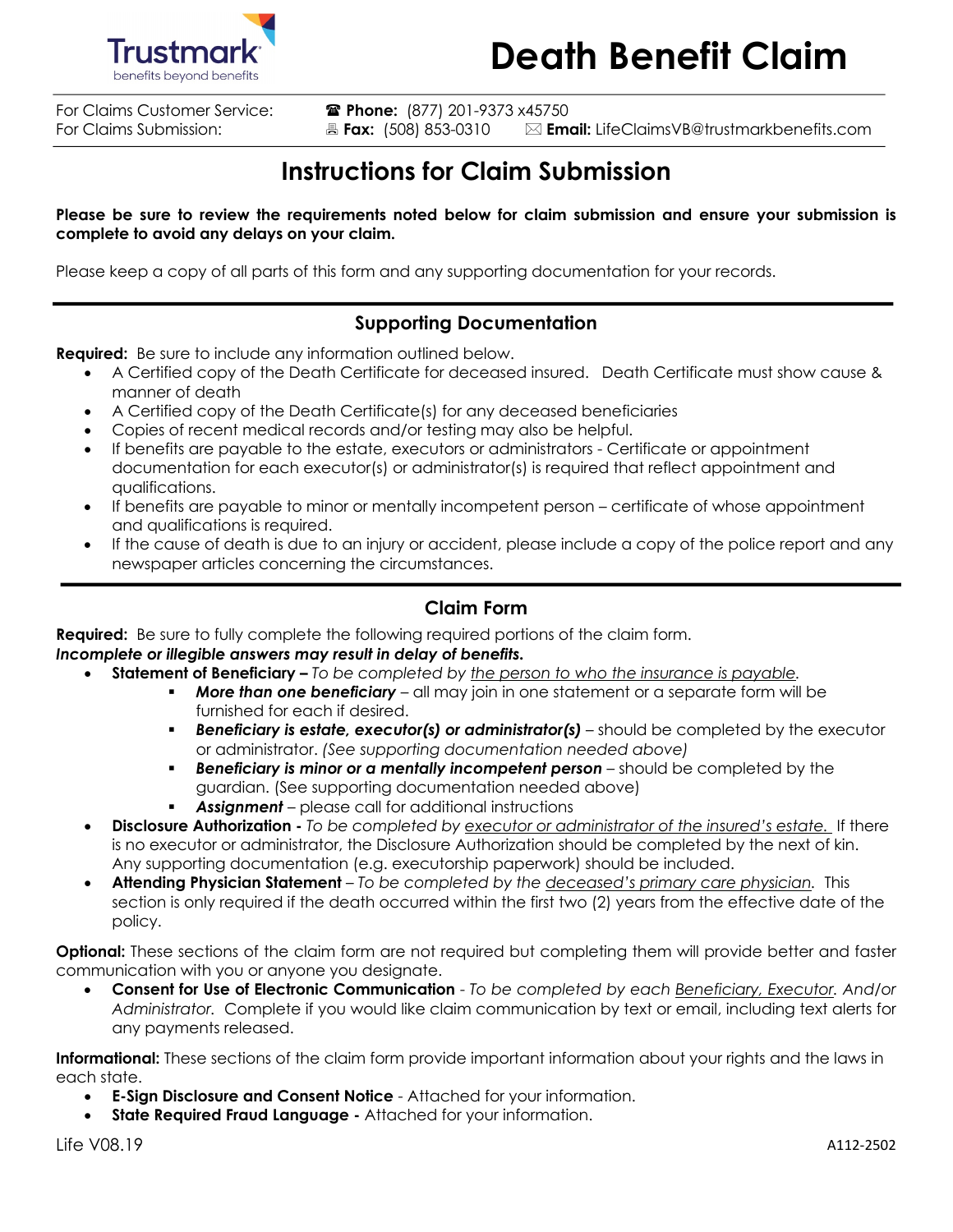

For Claims Customer Service: **a Phone:** (877) 201-9373 x45750<br>For Claims Submission: **B Fax:** (508) 853-0310 **Em** 

֧֪ׅ֞֝֬֝֬֝֬֝֬֝֬֝֬֝֬֝֬֝֬֝֬֝֬֝֬֝֬֝֬֝**֟** 

For Claims Submission: **Ext:** (508) 853-0310 **Email:** LifeClaimsVB@trustmarkbenefits.com

## **Instructions for Claim Submission**

**Please be sure to review the requirements noted below for claim submission and ensure your submission is complete to avoid any delays on your claim.** 

Please keep a copy of all parts of this form and any supporting documentation for your records.

### **Supporting Documentation**

**Required:** Be sure to include any information outlined below.

- A Certified copy of the Death Certificate for deceased insured. Death Certificate must show cause & manner of death
- A Certified copy of the Death Certificate(s) for any deceased beneficiaries
- Copies of recent medical records and/or testing may also be helpful.
- If benefits are payable to the estate, executors or administrators Certificate or appointment documentation for each executor(s) or administrator(s) is required that reflect appointment and qualifications.
- If benefits are payable to minor or mentally incompetent person certificate of whose appointment and qualifications is required.
- If the cause of death is due to an injury or accident, please include a copy of the police report and any newspaper articles concerning the circumstances.

### **Claim Form**

**Required:** Be sure to fully complete the following required portions of the claim form.

*Incomplete or illegible answers may result in delay of benefits.* 

- **Statement of Beneficiary** *To be completed by the person to who the insurance is payable.*
	- **More than one beneficiary** all may join in one statement or a separate form will be furnished for each if desired.
	- **Beneficiary is estate, executor(s) or administrator(s)** should be completed by the executor or administrator. *(See supporting documentation needed above)*
	- **Beneficiary is minor or a mentally incompetent person** should be completed by the guardian. (See supporting documentation needed above)
	- **Assignment** please call for additional instructions
- **Disclosure Authorization -** *To be completed by executor or administrator of the insured's estate.* If there is no executor or administrator, the Disclosure Authorization should be completed by the next of kin. Any supporting documentation (e.g. executorship paperwork) should be included.
- **Attending Physician Statement** *To be completed by the deceased's primary care physician.* This section is only required if the death occurred within the first two (2) years from the effective date of the policy.

**Optional:** These sections of the claim form are not required but completing them will provide better and faster communication with you or anyone you designate.

• **Consent for Use of Electronic Communication** - *To be completed by each Beneficiary, Executor. And/or Administrator.* Complete if you would like claim communication by text or email, including text alerts for any payments released.

**Informational:** These sections of the claim form provide important information about your rights and the laws in each state.

- **E-Sign Disclosure and Consent Notice**  Attached for your information.
- **State Required Fraud Language** Attached for your information.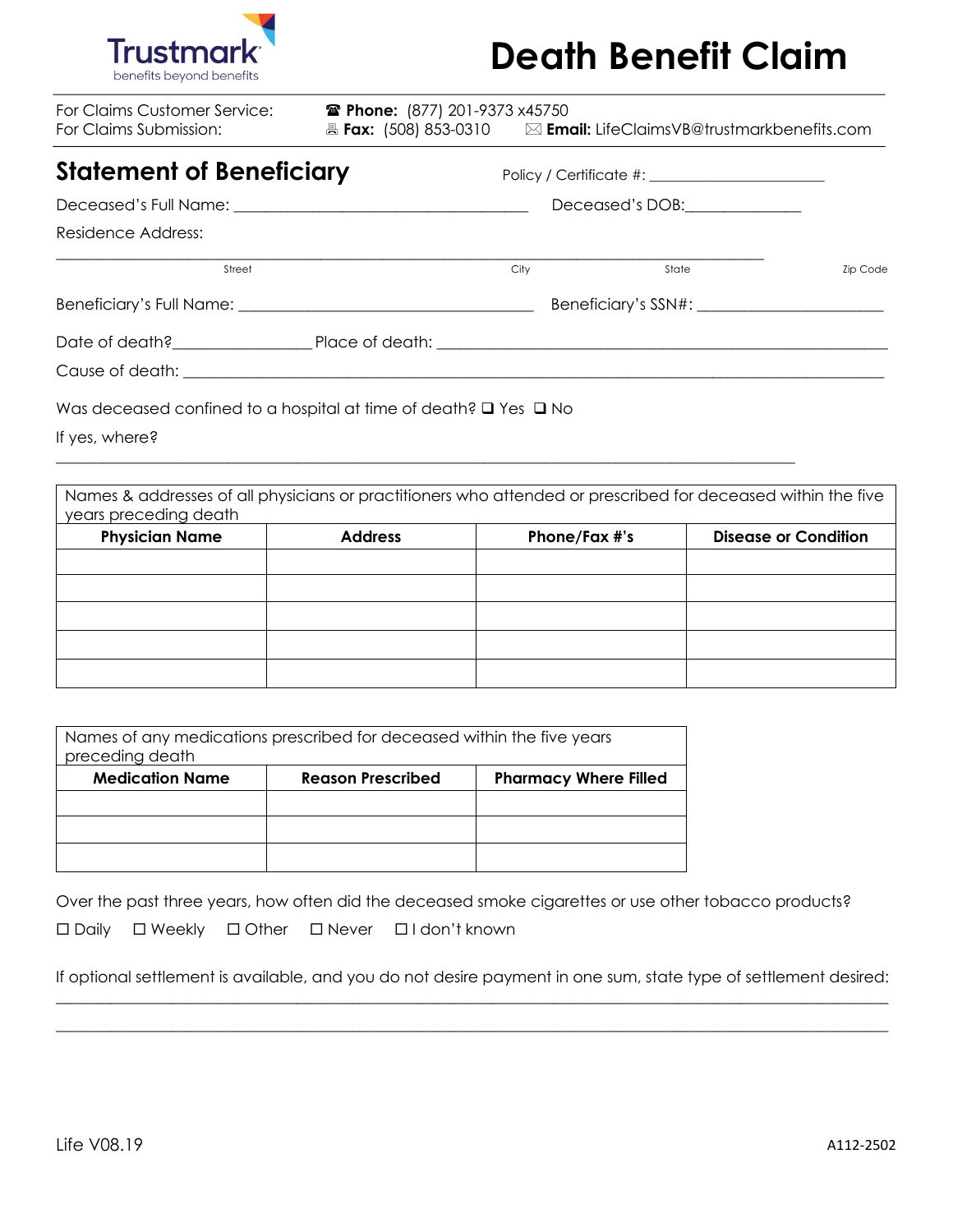

| For Claims Customer Service:<br>For Claims Submission:                           | <b>■ Phone:</b> (877) 201-9373 x45750 |      |       |                 |
|----------------------------------------------------------------------------------|---------------------------------------|------|-------|-----------------|
| <b>Statement of Beneficiary</b>                                                  |                                       |      |       |                 |
|                                                                                  | Deceased's DOB:                       |      |       |                 |
| Residence Address:                                                               |                                       |      |       |                 |
| Street                                                                           |                                       | City | State | <b>Zip Code</b> |
|                                                                                  |                                       |      |       |                 |
| Date of death?<br>Place of death:                                                |                                       |      |       |                 |
|                                                                                  |                                       |      |       |                 |
| Was deceased confined to a hospital at time of death? $\square$ Yes $\square$ No |                                       |      |       |                 |

If yes, where?

Names & addresses of all physicians or practitioners who attended or prescribed for deceased within the five years preceding death

\_\_\_\_\_\_\_\_\_\_\_\_\_\_\_\_\_\_\_\_\_\_\_\_\_\_\_\_\_\_\_\_\_\_\_\_\_\_\_\_\_\_\_\_\_\_\_\_\_\_\_\_\_\_\_\_\_\_\_\_\_\_\_\_\_\_\_\_\_\_\_\_\_\_\_\_\_\_\_\_\_\_\_\_\_\_\_\_\_\_\_\_\_\_\_

| <b>Physician Name</b> | <b>Address</b> | Phone/Fax #'s | <b>Disease or Condition</b> |  |
|-----------------------|----------------|---------------|-----------------------------|--|
|                       |                |               |                             |  |
|                       |                |               |                             |  |
|                       |                |               |                             |  |
|                       |                |               |                             |  |
|                       |                |               |                             |  |

| Names of any medications prescribed for deceased within the five years<br>preceding death |  |  |  |  |  |  |
|-------------------------------------------------------------------------------------------|--|--|--|--|--|--|
| <b>Medication Name</b><br>Reason Prescribed<br><b>Pharmacy Where Filled</b>               |  |  |  |  |  |  |
|                                                                                           |  |  |  |  |  |  |
|                                                                                           |  |  |  |  |  |  |
|                                                                                           |  |  |  |  |  |  |

Over the past three years, how often did the deceased smoke cigarettes or use other tobacco products? ¨ Daily ¨ Weekly ¨ Other ¨ Never ¨ I don't known

If optional settlement is available, and you do not desire payment in one sum, state type of settlement desired: \_\_\_\_\_\_\_\_\_\_\_\_\_\_\_\_\_\_\_\_\_\_\_\_\_\_\_\_\_\_\_\_\_\_\_\_\_\_\_\_\_\_\_\_\_\_\_\_\_\_\_\_\_\_\_\_\_\_\_\_\_\_\_\_\_\_\_\_\_\_\_\_\_\_\_\_\_\_\_\_\_\_\_\_\_\_\_\_\_\_\_\_\_\_\_\_\_\_\_\_\_\_\_\_\_\_\_

\_\_\_\_\_\_\_\_\_\_\_\_\_\_\_\_\_\_\_\_\_\_\_\_\_\_\_\_\_\_\_\_\_\_\_\_\_\_\_\_\_\_\_\_\_\_\_\_\_\_\_\_\_\_\_\_\_\_\_\_\_\_\_\_\_\_\_\_\_\_\_\_\_\_\_\_\_\_\_\_\_\_\_\_\_\_\_\_\_\_\_\_\_\_\_\_\_\_\_\_\_\_\_\_\_\_\_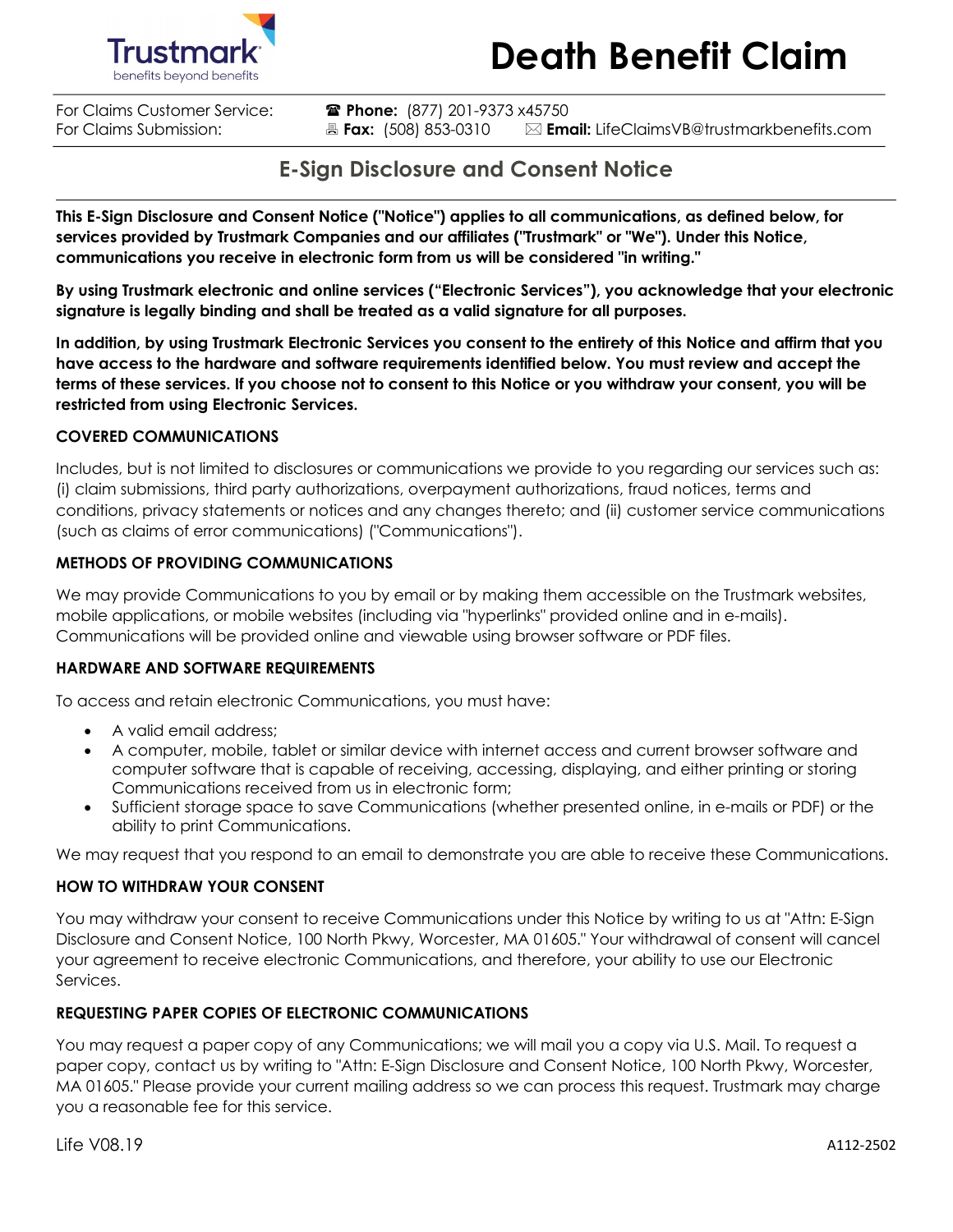



**For Claims Customer Service: Thone:** (877) 201-9373 x45750 For Claims Submission: **Ext:** (508) 853-0310 **Email:** LifeClaimsVB@trustmarkbenefits.com

### **E-Sign Disclosure and Consent Notice**

**This E-Sign Disclosure and Consent Notice ("Notice") applies to all communications, as defined below, for services provided by Trustmark Companies and our affiliates ("Trustmark" or "We"). Under this Notice, communications you receive in electronic form from us will be considered "in writing."**

**By using Trustmark electronic and online services ("Electronic Services"), you acknowledge that your electronic signature is legally binding and shall be treated as a valid signature for all purposes.**

**In addition, by using Trustmark Electronic Services you consent to the entirety of this Notice and affirm that you have access to the hardware and software requirements identified below. You must review and accept the terms of these services. If you choose not to consent to this Notice or you withdraw your consent, you will be restricted from using Electronic Services.**

### **COVERED COMMUNICATIONS**

Includes, but is not limited to disclosures or communications we provide to you regarding our services such as: (i) claim submissions, third party authorizations, overpayment authorizations, fraud notices, terms and conditions, privacy statements or notices and any changes thereto; and (ii) customer service communications (such as claims of error communications) ("Communications").

### **METHODS OF PROVIDING COMMUNICATIONS**

We may provide Communications to you by email or by making them accessible on the Trustmark websites, mobile applications, or mobile websites (including via "hyperlinks" provided online and in e-mails). Communications will be provided online and viewable using browser software or PDF files.

### **HARDWARE AND SOFTWARE REQUIREMENTS**

To access and retain electronic Communications, you must have:

- A valid email address;
- A computer, mobile, tablet or similar device with internet access and current browser software and computer software that is capable of receiving, accessing, displaying, and either printing or storing Communications received from us in electronic form;
- Sufficient storage space to save Communications (whether presented online, in e-mails or PDF) or the ability to print Communications.

We may request that you respond to an email to demonstrate you are able to receive these Communications.

### **HOW TO WITHDRAW YOUR CONSENT**

You may withdraw your consent to receive Communications under this Notice by writing to us at "Attn: E-Sign Disclosure and Consent Notice, 100 North Pkwy, Worcester, MA 01605." Your withdrawal of consent will cancel your agreement to receive electronic Communications, and therefore, your ability to use our Electronic Services.

### **REQUESTING PAPER COPIES OF ELECTRONIC COMMUNICATIONS**

You may request a paper copy of any Communications; we will mail you a copy via U.S. Mail. To request a paper copy, contact us by writing to "Attn: E-Sign Disclosure and Consent Notice, 100 North Pkwy, Worcester, MA 01605." Please provide your current mailing address so we can process this request. Trustmark may charge you a reasonable fee for this service.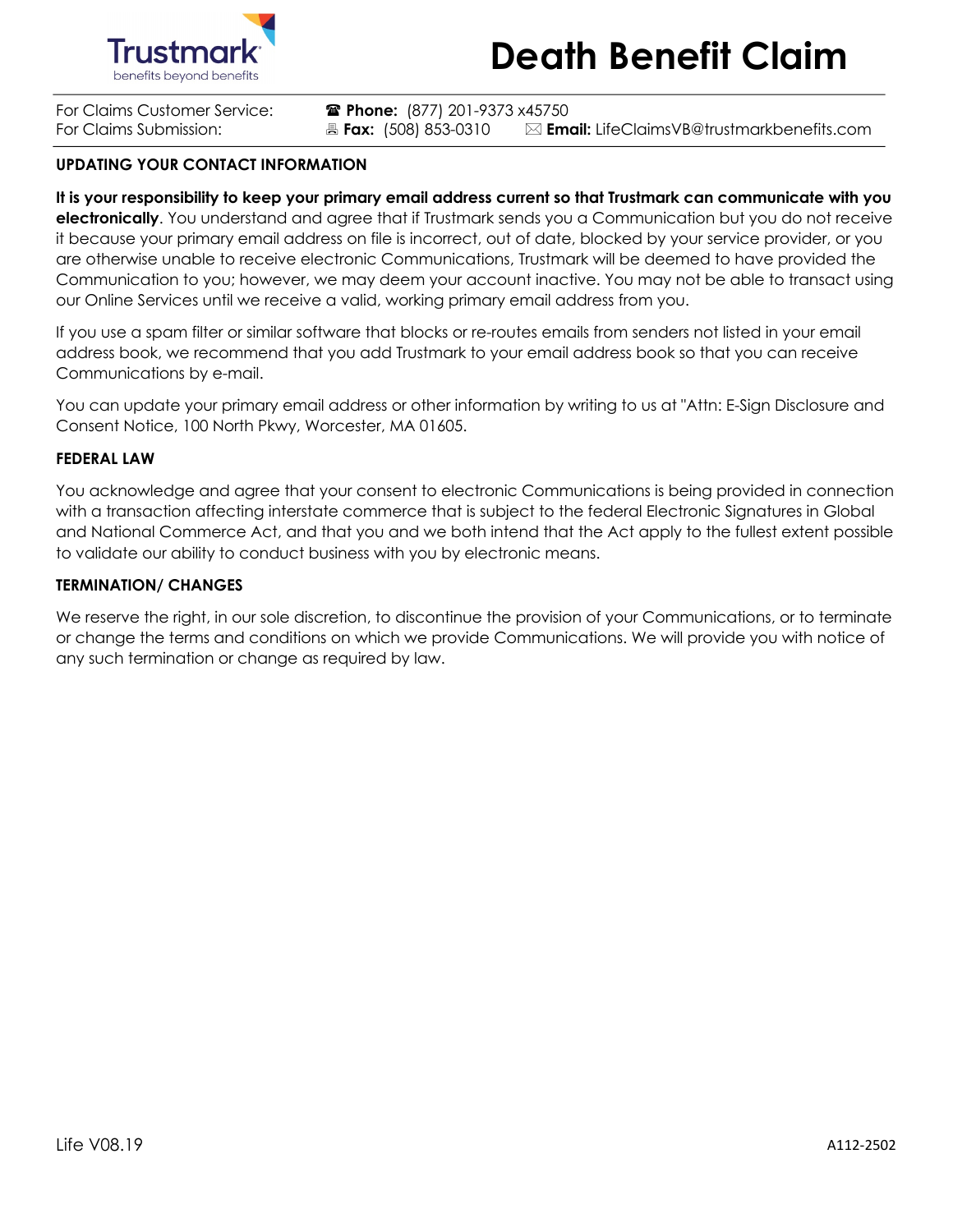



For Claims Customer Service: ( **Phone:** (877) 201-9373 x45750

For Claims Submission: **Ext:** (508) 853-0310 **Email:** LifeClaimsVB@trustmarkbenefits.com

### **UPDATING YOUR CONTACT INFORMATION**

**It is your responsibility to keep your primary email address current so that Trustmark can communicate with you electronically**. You understand and agree that if Trustmark sends you a Communication but you do not receive it because your primary email address on file is incorrect, out of date, blocked by your service provider, or you are otherwise unable to receive electronic Communications, Trustmark will be deemed to have provided the Communication to you; however, we may deem your account inactive. You may not be able to transact using our Online Services until we receive a valid, working primary email address from you.

If you use a spam filter or similar software that blocks or re-routes emails from senders not listed in your email address book, we recommend that you add Trustmark to your email address book so that you can receive Communications by e-mail.

You can update your primary email address or other information by writing to us at "Attn: E-Sign Disclosure and Consent Notice, 100 North Pkwy, Worcester, MA 01605.

#### **FEDERAL LAW**

You acknowledge and agree that your consent to electronic Communications is being provided in connection with a transaction affecting interstate commerce that is subject to the federal Electronic Signatures in Global and National Commerce Act, and that you and we both intend that the Act apply to the fullest extent possible to validate our ability to conduct business with you by electronic means.

#### **TERMINATION/ CHANGES**

We reserve the right, in our sole discretion, to discontinue the provision of your Communications, or to terminate or change the terms and conditions on which we provide Communications. We will provide you with notice of any such termination or change as required by law.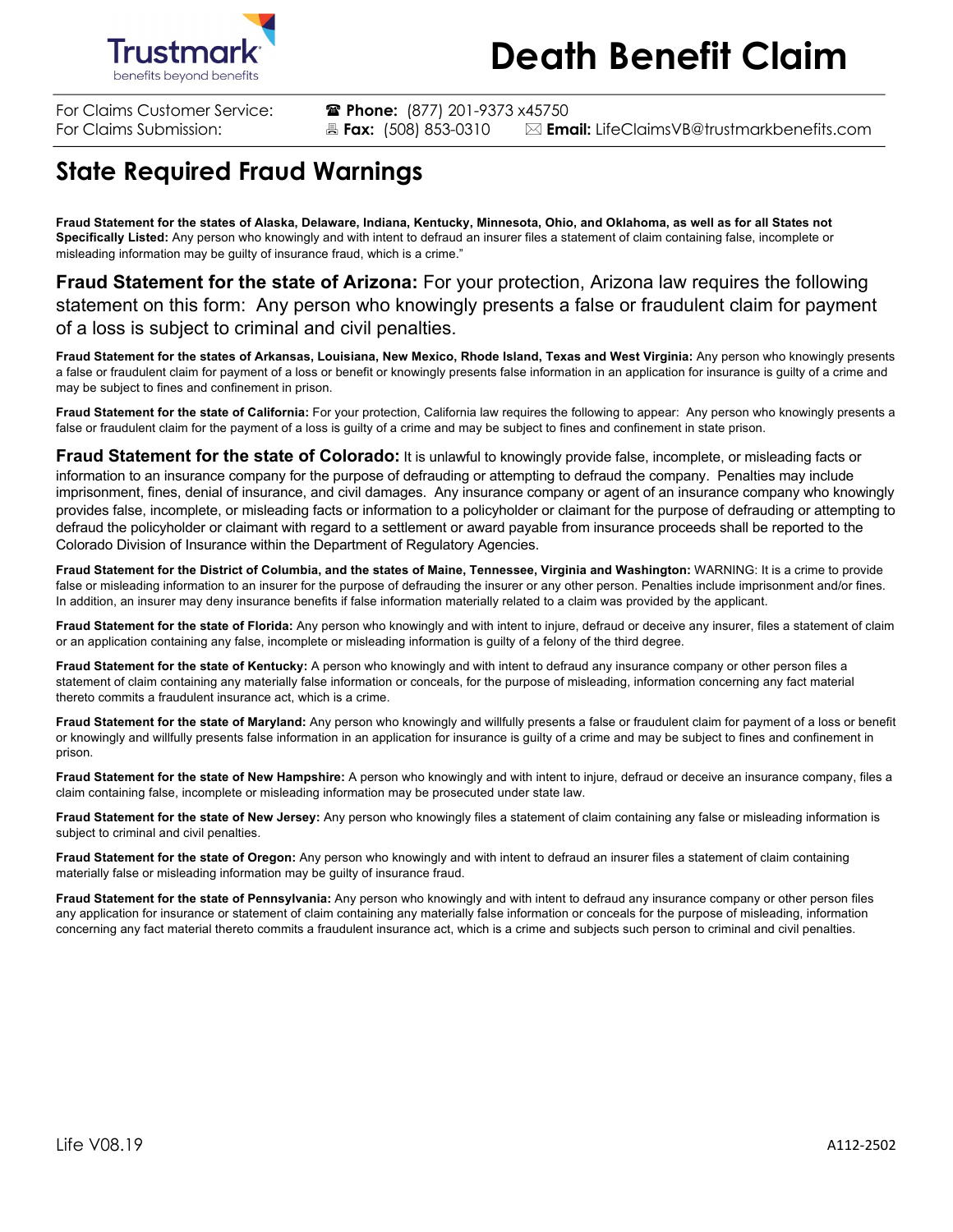

For Claims Customer Service: ( **Phone:** (877) 201-9373 x45750 For Claims Submission: **All Fax:** (508) 853-0310 **X Email:** LifeClaimsVB@trustmarkbenefits.com

## **State Required Fraud Warnings**

**Fraud Statement for the states of Alaska, Delaware, Indiana, Kentucky, Minnesota, Ohio, and Oklahoma, as well as for all States not Specifically Listed:** Any person who knowingly and with intent to defraud an insurer files a statement of claim containing false, incomplete or misleading information may be guilty of insurance fraud, which is a crime."

**Fraud Statement for the state of Arizona:** For your protection, Arizona law requires the following statement on this form: Any person who knowingly presents a false or fraudulent claim for payment of a loss is subject to criminal and civil penalties.

**Fraud Statement for the states of Arkansas, Louisiana, New Mexico, Rhode Island, Texas and West Virginia:** Any person who knowingly presents a false or fraudulent claim for payment of a loss or benefit or knowingly presents false information in an application for insurance is guilty of a crime and may be subject to fines and confinement in prison.

**Fraud Statement for the state of California:** For your protection, California law requires the following to appear: Any person who knowingly presents a false or fraudulent claim for the payment of a loss is guilty of a crime and may be subject to fines and confinement in state prison.

**Fraud Statement for the state of Colorado:** It is unlawful to knowingly provide false, incomplete, or misleading facts or information to an insurance company for the purpose of defrauding or attempting to defraud the company. Penalties may include imprisonment, fines, denial of insurance, and civil damages. Any insurance company or agent of an insurance company who knowingly provides false, incomplete, or misleading facts or information to a policyholder or claimant for the purpose of defrauding or attempting to defraud the policyholder or claimant with regard to a settlement or award payable from insurance proceeds shall be reported to the Colorado Division of Insurance within the Department of Regulatory Agencies.

**Fraud Statement for the District of Columbia, and the states of Maine, Tennessee, Virginia and Washington:** WARNING: It is a crime to provide false or misleading information to an insurer for the purpose of defrauding the insurer or any other person. Penalties include imprisonment and/or fines. In addition, an insurer may deny insurance benefits if false information materially related to a claim was provided by the applicant.

**Fraud Statement for the state of Florida:** Any person who knowingly and with intent to injure, defraud or deceive any insurer, files a statement of claim or an application containing any false, incomplete or misleading information is guilty of a felony of the third degree.

**Fraud Statement for the state of Kentucky:** A person who knowingly and with intent to defraud any insurance company or other person files a statement of claim containing any materially false information or conceals, for the purpose of misleading, information concerning any fact material thereto commits a fraudulent insurance act, which is a crime.

**Fraud Statement for the state of Maryland:** Any person who knowingly and willfully presents a false or fraudulent claim for payment of a loss or benefit or knowingly and willfully presents false information in an application for insurance is guilty of a crime and may be subject to fines and confinement in prison.

**Fraud Statement for the state of New Hampshire:** A person who knowingly and with intent to injure, defraud or deceive an insurance company, files a claim containing false, incomplete or misleading information may be prosecuted under state law.

**Fraud Statement for the state of New Jersey:** Any person who knowingly files a statement of claim containing any false or misleading information is subject to criminal and civil penalties.

**Fraud Statement for the state of Oregon:** Any person who knowingly and with intent to defraud an insurer files a statement of claim containing materially false or misleading information may be guilty of insurance fraud.

**Fraud Statement for the state of Pennsylvania:** Any person who knowingly and with intent to defraud any insurance company or other person files any application for insurance or statement of claim containing any materially false information or conceals for the purpose of misleading, information concerning any fact material thereto commits a fraudulent insurance act, which is a crime and subjects such person to criminal and civil penalties.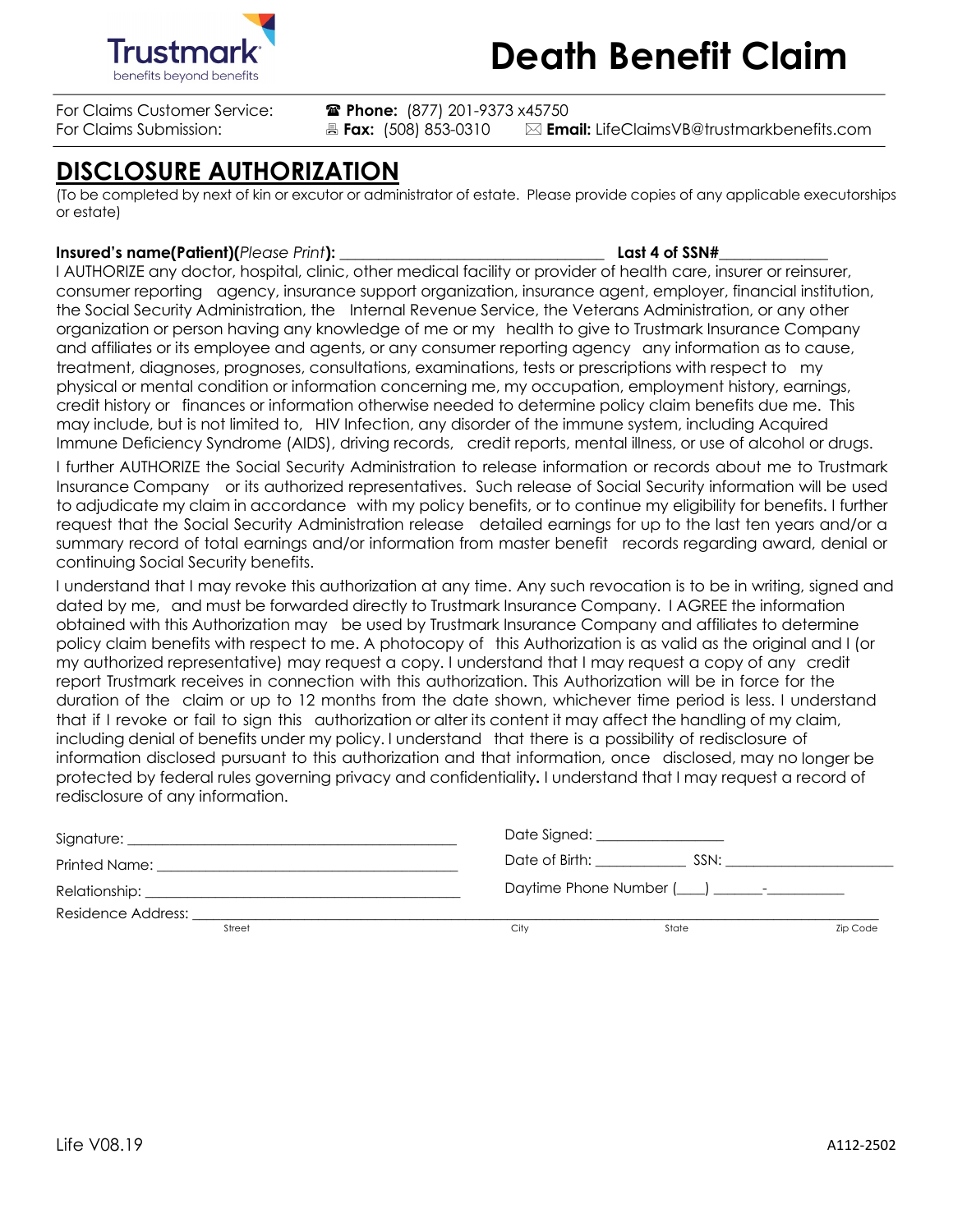



For Claims Customer Service: ( **Phone:** (877) 201-9373 x45750

For Claims Submission: **Ext:** (508) 853-0310 **Email:** LifeClaimsVB@trustmarkbenefits.com

## **DISCLOSURE AUTHORIZATION**

(To be completed by next of kin or excutor or administrator of estate. Please provide copies of any applicable executorships or estate)

### **Insured's name(Patient)(***Please Print***): \_\_\_\_\_\_\_\_\_\_\_\_\_\_\_\_\_\_\_\_\_\_\_\_\_\_\_\_\_\_\_\_\_\_ Last 4 of SSN#\_\_\_\_\_\_\_\_\_\_\_\_\_\_**

I AUTHORIZE any doctor, hospital, clinic, other medical facility or provider of health care, insurer or reinsurer, consumer reporting agency, insurance support organization, insurance agent, employer, financial institution, the Social Security Administration, the Internal Revenue Service, the Veterans Administration, or any other organization or person having any knowledge of me or my health to give to Trustmark Insurance Company and affiliates or its employee and agents, or any consumer reporting agency any information as to cause, treatment, diagnoses, prognoses, consultations, examinations, tests or prescriptions with respect to my physical or mental condition or information concerning me, my occupation, employment history, earnings, credit history or finances or information otherwise needed to determine policy claim benefits due me. This may include, but is not limited to, HIV Infection, any disorder of the immune system, including Acquired Immune Deficiency Syndrome (AIDS), driving records, credit reports, mental illness, or use of alcohol or drugs. I further AUTHORIZE the Social Security Administration to release information or records about me to Trustmark

Insurance Company or its authorized representatives. Such release of Social Security information will be used to adjudicate my claim in accordance with my policy benefits, or to continue my eligibility for benefits. I further request that the Social Security Administration release detailed earnings for up to the last ten years and/or a summary record of total earnings and/or information from master benefit records regarding award, denial or continuing Social Security benefits.

I understand that I may revoke this authorization at any time. Any such revocation is to be in writing, signed and dated by me, and must be forwarded directly to Trustmark Insurance Company. I AGREE the information obtained with this Authorization may be used by Trustmark Insurance Company and affiliates to determine policy claim benefits with respect to me. A photocopy of this Authorization is as valid as the original and I (or my authorized representative) may request a copy. I understand that I may request a copy of any credit report Trustmark receives in connection with this authorization. This Authorization will be in force for the duration of the claim or up to 12 months from the date shown, whichever time period is less. I understand that if I revoke or fail to sign this authorization or alter its content it may affect the handling of my claim, including denial of benefits under my policy. I understand that there is a possibility of redisclosure of information disclosed pursuant to this authorization and that information, once disclosed, may no longer be protected by federal rules governing privacy and confidentiality**.** I understand that I may request a record of redisclosure of any information.

|                                                                                                                                                                                                                               |      | Date Signed: __________________       |                 |
|-------------------------------------------------------------------------------------------------------------------------------------------------------------------------------------------------------------------------------|------|---------------------------------------|-----------------|
| Printed Name:                                                                                                                                                                                                                 |      | Date of Birth: Date of Birth:<br>SSN: |                 |
| Relationship: the contract of the contract of the contract of the contract of the contract of the contract of the contract of the contract of the contract of the contract of the contract of the contract of the contract of |      |                                       |                 |
| Residence Address:                                                                                                                                                                                                            |      |                                       |                 |
| Street                                                                                                                                                                                                                        | Citv | State                                 | <b>Zip Code</b> |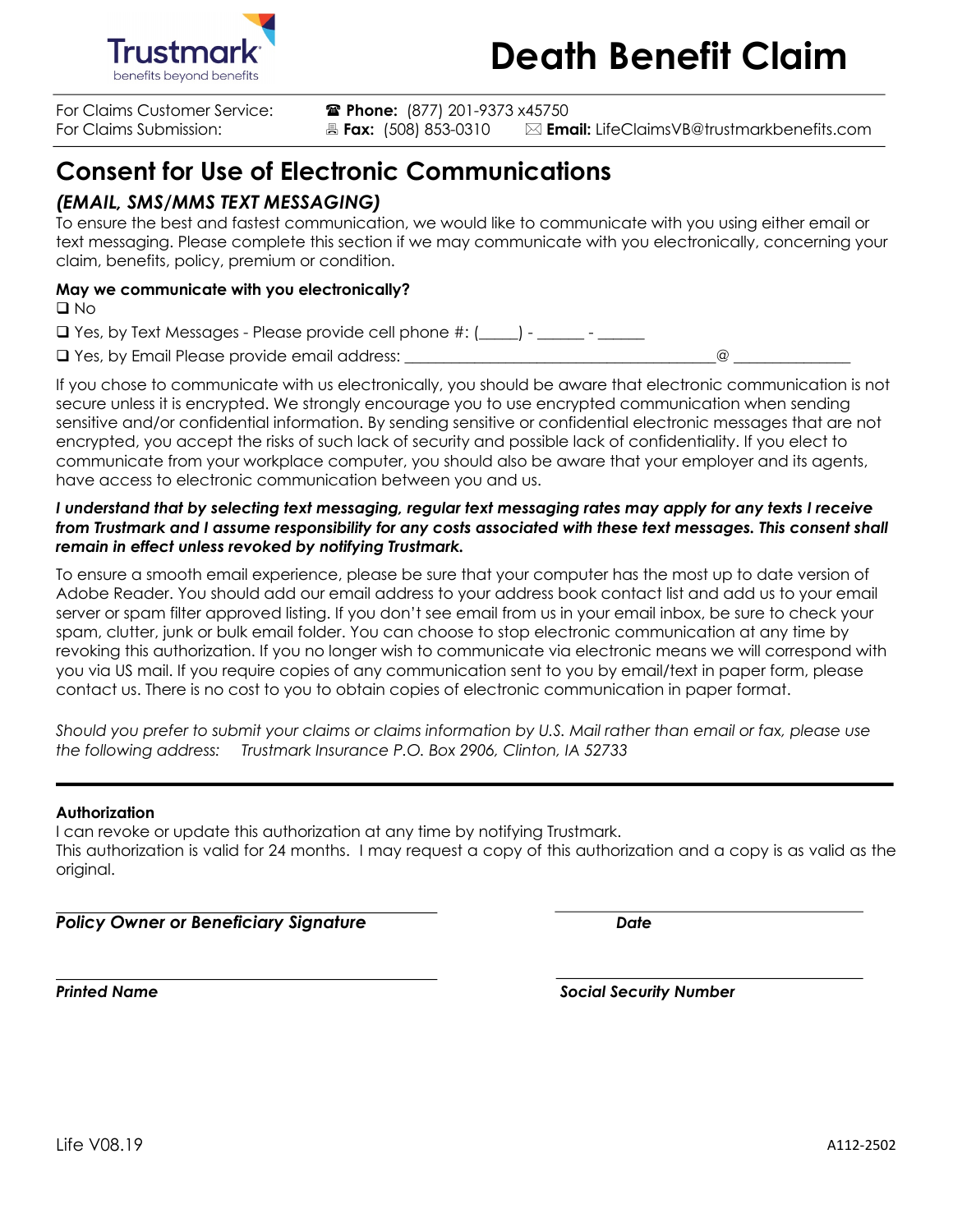

**For Claims Customer Service: Thone:** (877) 201-9373 x45750

For Claims Submission: **Ext:** (508) 853-0310 **Email:** LifeClaimsVB@trustmarkbenefits.com

## **Consent for Use of Electronic Communications**

### *(EMAIL, SMS/MMS TEXT MESSAGING)*

To ensure the best and fastest communication, we would like to communicate with you using either email or text messaging. Please complete this section if we may communicate with you electronically, concerning your claim, benefits, policy, premium or condition.

### **May we communicate with you electronically?**

 $\square$  No

 $\square$  Yes, by Text Messages - Please provide cell phone #: ( $\_\_\_\$ ) -  $\_\_\_\_\_\_\_\_\_\$ 

 $\square$  Yes, by Email Please provide email address:  $\square$ 

If you chose to communicate with us electronically, you should be aware that electronic communication is not secure unless it is encrypted. We strongly encourage you to use encrypted communication when sending sensitive and/or confidential information. By sending sensitive or confidential electronic messages that are not encrypted, you accept the risks of such lack of security and possible lack of confidentiality. If you elect to communicate from your workplace computer, you should also be aware that your employer and its agents, have access to electronic communication between you and us.

### *I understand that by selecting text messaging, regular text messaging rates may apply for any texts I receive from Trustmark and I assume responsibility for any costs associated with these text messages. This consent shall remain in effect unless revoked by notifying Trustmark.*

To ensure a smooth email experience, please be sure that your computer has the most up to date version of Adobe Reader. You should add our email address to your address book contact list and add us to your email server or spam filter approved listing. If you don't see email from us in your email inbox, be sure to check your spam, clutter, junk or bulk email folder. You can choose to stop electronic communication at any time by revoking this authorization. If you no longer wish to communicate via electronic means we will correspond with you via US mail. If you require copies of any communication sent to you by email/text in paper form, please contact us. There is no cost to you to obtain copies of electronic communication in paper format.

*Should you prefer to submit your claims or claims information by U.S. Mail rather than email or fax, please use the following address: Trustmark Insurance P.O. Box 2906, Clinton, IA 52733*

### **Authorization**

I can revoke or update this authorization at any time by notifying Trustmark. This authorization is valid for 24 months. I may request a copy of this authorization and a copy is as valid as the original.

*Policy Owner or Beneficiary Signature Date*

*Printed Name Social Security Number*